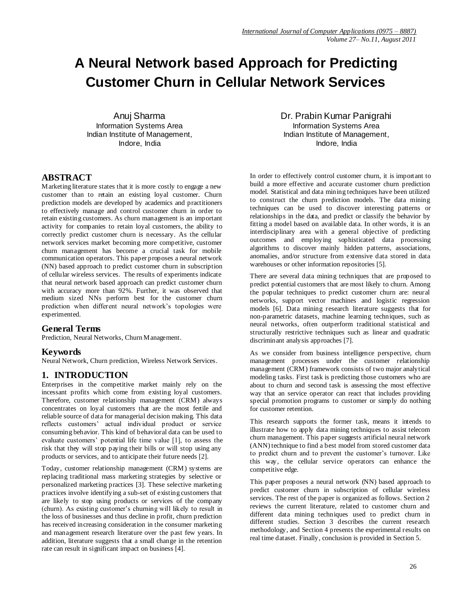# **A Neural Network based Approach for Predicting Customer Churn in Cellular Network Services**

Anuj Sharma Information Systems Area Indian Institute of Management, Indore, India

Dr. Prabin Kumar Panigrahi Information Systems Area Indian Institute of Management, Indore, India

# **ABSTRACT**

Marketing literature states that it is more costly to engage a new customer than to retain an existing loyal customer. Churn prediction models are developed by academics and practitioners to effectively manage and control customer churn in order to retain existing customers. As churn management is an important activity for companies to retain loyal customers, the ability to correctly predict customer churn is necessary. As the cellular network services market becoming more competitive, customer churn management has become a crucial task for mobile communication operators. This paper proposes a neural network (NN) based approach to predict customer churn in subscription of cellular wireless services. The results of experiments indicate that neural network based approach can predict customer churn with accuracy more than 92%. Further, it was observed that medium sized NNs perform best for the customer churn prediction when different neural network's topologies were experimented.

### **General Terms**

Prediction, Neural Networks, Churn Management.

### **Keywords**

Neural Network, Churn prediction, Wireless Network Services.

### **1. INTRODUCTION**

Enterprises in the competitive market mainly rely on the incessant profits which come from existing loyal customers. Therefore, customer relationship management (CRM) always concentrates on loyal customers that are the most fertile and reliable source of data for managerial decision making. This data reflects customers' actual individual product or service consuming behavior. This kind of behavioral data can be used to evaluate customers' potential life time value [1], to assess the risk that they will stop paying their bills or will stop using any products or services, and to anticipate their future needs [2].

Today, customer relationship management (CRM) systems are replacing traditional mass marketing strategies by selective or personalized marketing practices [3]. These selective marketing practices involve identifying a sub-set of existing customers that are likely to stop using products or services of the company (churn). As existing customer's churning will likely to result in the loss of businesses and thus decline in profit, churn prediction has received increasing consideration in the consumer marketing and management research literature over the past few years. In addition, literature suggests that a small change in the retention rate can result in significant impact on business [4].

In order to effectively control customer churn, it is important to build a more effective and accurate customer churn prediction model. Statistical and data mining techniques have been utilized to construct the churn prediction models. The data mining techniques can be used to discover interesting patterns or relationships in the data, and predict or classify the behavior by fitting a model based on available data. In other words, it is an interdisciplinary area with a general objective of predicting outcomes and employing sophisticated data processing algorithms to discover mainly hidden patterns, associations, anomalies, and/or structure from extensive data stored in data warehouses or other information repositories [5].

There are several data mining techniques that are proposed to predict potential customers that are most likely to churn. Among the popular techniques to predict customer churn are: neural networks, support vector machines and logistic regression models [6]. Data mining research literature suggests that for non-parametric datasets, machine learning techniques, such as neural networks, often outperform traditional statistical and structurally restrictive techniques such as linear and quadratic discriminant analysis approaches [7].

As we consider from business intelligence perspective, churn management processes under the customer relationship management (CRM) framework consists of two major analytical modeling tasks. First task is predicting those customers who are about to churn and second task is assessing the most effective way that an service operator can react that includes providing special promotion programs to customer or simply do nothing for customer retention.

This research supports the former task, means it intends to illustrate how to apply data mining techniques to assist telecom churn management. This paper suggests artificial neural network (ANN) technique to find a best model from stored customer data to predict churn and to prevent the customer's turnover. Like this way, the cellular service operators can enhance the competitive edge.

This paper proposes a neural network (NN) based approach to predict customer churn in subscription of cellular wireless services. The rest of the paper is organized as follows. Section 2 reviews the current literature, related to customer churn and different data mining techniques used to predict churn in different studies. Section 3 describes the current research methodology, and Section 4 presents the experimental results on real time dataset. Finally, conclusion is provided in Section 5.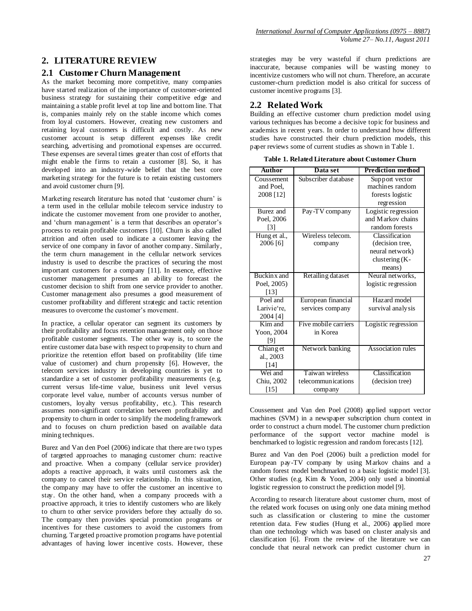# **2. LITERATURE REVIEW**

#### **2.1 Customer Churn Management**

As the market becoming more competitive, many companies have started realization of the importance of customer-oriented business strategy for sustaining their competitive edge and maintaining a stable profit level at top line and bottom line. That is, companies mainly rely on the stable income which comes from loyal customers. However, creating new customers and retaining loyal customers is difficult and costly. As new customer account is setup different expenses like credit searching, advertising and promotional expenses are occurred. These expenses are several times greater than cost of efforts that might enable the firms to retain a customer [8]. So, it has developed into an industry-wide belief that the best core marketing strategy for the future is to retain existing customers and avoid customer churn [9].

Marketing research literature has noted that 'customer churn' is a term used in the cellular mobile telecom service industry to indicate the customer movement from one provider to another, and 'churn management' is a term that describes an operator's process to retain profitable customers [10]. Churn is also called attrition and often used to indicate a customer leaving the service of one company in favor of another company. Similarly, the term churn management in the cellular network services industry is used to describe the practices of securing the most important customers for a company [11]. In essence, effective customer management presumes an ability to forecast the customer decision to shift from one service provider to another. Customer management also presumes a good measurement of customer profitability and different strategic and tactic retention measures to overcome the customer's movement.

In practice, a cellular operator can segment its customers by their profitability and focus retention management only on those profitable customer segments. The other way is, to score the entire customer data base with respect to propensity to churn and prioritize the retention effort based on profitability (life time value of customer) and churn propensity [6]. However, the telecom services industry in developing countries is yet to standardize a set of customer profitability measurements (e.g. current versus life-time value, business unit level versus corporate level value, number of accounts versus number of customers, loyalty versus profitability, etc.). This research assumes non-significant correlation between profitability and propensity to churn in order to simplify the modeling framework and to focuses on churn prediction based on available data mining techniques.

Burez and Van den Poel (2006) indicate that there are two types of targeted approaches to managing customer churn: reactive and proactive. When a company (cellular service provider) adopts a reactive approach, it waits until customers ask the company to cancel their service relationship. In this situation, the company may have to offer the customer an incentive to stay. On the other hand, when a company proceeds with a proactive approach, it tries to identify customers who are likely to churn to other service providers before they actually do so. The company then provides special promotion programs or incentives for these customers to avoid the customers from churning. Targeted proactive promotion programs have potential advantages of having lower incentive costs. However, these

strategies may be very wasteful if churn predictions are inaccurate, because companies will be wasting money to incentivize customers who will not churn. Therefore, an accurate customer-churn prediction model is also critical for success of customer incentive programs [3].

# **2.2 Related Work**

Building an effective customer churn prediction model using various techniques has become a decisive topic for business and academics in recent years. In order to understand how different studies have constructed their churn prediction models, this paper reviews some of current studies as shown in Table 1.

**Table 1. Related Literature about Customer Churn**

| <b>Author</b>          | Data set             | <b>Prediction method</b> |
|------------------------|----------------------|--------------------------|
| Coussement             | Subscriber database  | Support vector           |
| and Poel.              |                      | machines random          |
| 2008 [12]              |                      | forests logistic         |
|                        |                      | regression               |
| Burez and              | Pay-TV company       | Logistic regression      |
| Poel, 2006             |                      | and Markov chains        |
| [3]                    |                      | random forests           |
| Hung et al.,           | Wireless telecom.    | Classification           |
| 2006 [6]               | company              | (decision tree,          |
|                        |                      | neural network)          |
|                        |                      | clustering $(K -$        |
|                        |                      | means)                   |
| Buckin x and           | Retailing dataset    | Neural networks,         |
| Poel, 2005)            |                      | logistic regression      |
| [13]                   |                      |                          |
| Poel and               | European financial   | Hazard model             |
| Larivie're,            | services company     | survival analysis        |
| 2004 [4]               |                      |                          |
| Kim and                | Five mobile carriers | Logistic regression      |
| Yoon, 2004             | in Korea             |                          |
| [9]                    |                      |                          |
| $\overline{Chiang}$ et | Network banking      | Association rules        |
| al., 2003              |                      |                          |
| [14]                   |                      |                          |
| Wei and                | Taiwan wireless      | Classification           |
| Chiu, 2002             | telecommunications   | (decision tree)          |
| $[15]$                 | company              |                          |

Coussement and Van den Poel (2008) applied support vector machines (SVM) in a newspaper subscription churn context in order to construct a churn model. The customer churn prediction performance of the support vector machine model is benchmarked to logistic regression and random forecasts [12].

Burez and Van den Poel (2006) built a prediction model for European pay-TV company by using Markov chains and a random forest model benchmarked to a basic logistic model [3]. Other studies (e.g. Kim & Yoon, 2004) only used a binomial logistic regression to construct the prediction model [9].

According to research literature about customer churn, most of the related work focuses on using only one data mining method such as classification or clustering to mine the customer retention data. Few studies (Hung et al., 2006) applied more than one technology which was based on cluster analysis and classification [6]. From the review of the literature we can conclude that neural network can predict customer churn in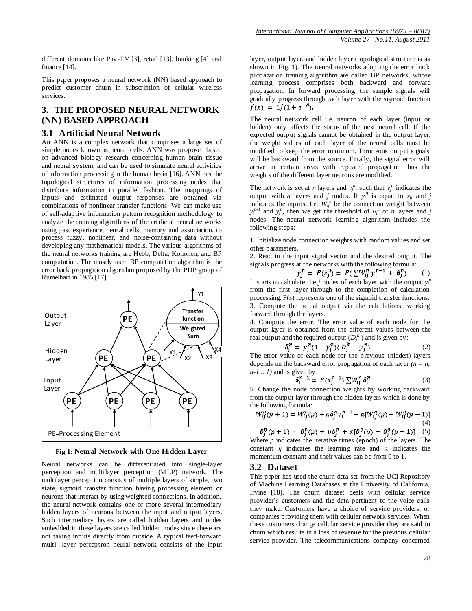different domains like Pay-TV [3], retail [13], banking [4] and finance [14].

This paper proposes a neural network (NN) based approach to predict customer churn in subscription of cellular wireless services.

# **3. THE PROPOSED NEURAL NETWORK (NN) BASED APPROACH**

#### **3.1 Artificial Neural Network**

An ANN is a complex network that comprises a large set of simple nodes known as neural cells. ANN was proposed based on advanced biology research concerning human brain tissue and neural system, and can be used to simulate neural activities of information processing in the human brain [16]. ANN has the topological structures of information processing nodes that distribute information in parallel fashion. The mappings of inputs and estimated output responses are obtained via combinations of nonlinear transfer functions. We can make use of self-adaptive information pattern recognition methodology to analyze the training algorithms of the artificial neural networks using past experience, neural cells, memory and association, to process fuzzy, nonlinear, and noise-containing data without developing any mathematical models. The various algorithms of the neural networks training are Hebb, Delta, Kohonen, and BP computation. The mostly used BP computation algorithm is the error back propagation algorithm proposed by the PDP group of Rumelhart in 1985 [17].



**Fig 1: Neural Network with One Hidden Layer**

Neural networks can be differentiated into single-layer perception and multilayer perception (MLP) network. The multilayer perception consists of multiple layers of simple, two state, sigmoid transfer function having processing element or neurons that interact by using weighted connections. In addition, the neural network contains one or more several intermediary hidden layers of neurons between the input and output layers. Such intermediary layers are called hidden layers and nodes embedded in these layers are called hidden nodes since these are not taking inputs directly from outside. A typical feed-forward multi- layer perceptron neural network consists of the input layer, output layer, and hidden layer (topological structure is as shown in Fig. 1). The neural networks adopting the error back propagation training algorithm are called BP networks, whose learning process comprises both backward and forward propagation. In forward processing, the sample signals will gradually progress through each layer with the sigmoid function  $f(x) = 1/(1 + e^{-x})$ .

The neural network cell i.e. neuron of each layer (input or hidden) only affects the status of the next neural cell. If the expected output signals cannot be obtained in the output layer, the weight values of each layer of the neural cells must be modified to keep the error minimum. Erroneous output signals will be backward from the source. Finally, the signal error will arrive in certain areas with repeated propagation thus the weights of the different layer neurons are modified.

The network is set at *n* layers and  $y_j^n$ , such that  $y_j^n$  indicates the output with *n* layers and *j* nodes. If  $y_j^0$  is equal to  $x_j$ , and *j* indicates the inputs. Let  $W_{ij}^n$  be the connection weight between  $y_i^{n-l}$  and  $y_j^n$ , then we get the threshold of  $\theta_j^n$  of *n* layers and *j* nodes. The neural network learning algorithm includes the following steps:

1. Initialize node connection weights with random values and set other parameters.

2. Read in the input signal vector and the desired output. The signals progress at the networks with the following formula:

$$
y_j^n = F(s_j^n) = F(\sum W_{ij}^n y_i^{n-1} + \theta_j^n) \tag{1}
$$

It starts to calculate the *j* nodes of each layer with the output  $y_j^n$ from the first layer through to the completion of calculation processing. F(*s*) represents one of the sigmoid transfer functions. 3. Compute the actual output via the calculations, working forward through the layers.

4. Compute the error. The error value of each node for the output layer is obtained from the different values between the real output and the required output  $(D_j^k)$  and is given by:

$$
\hat{\delta}_j^n = y_j^n (1 - y_j^n) (D_j^k - y_j^n) \tag{2}
$$

The error value of each node for the previous (hidden) layers depends on the backward error propagation of each layer  $(n = n,$ *n-1... 1)* and is given by:

$$
\delta_{j}^{n-1} = F(s_{j}^{n-1}) \sum W_{ij}^{n} \delta_{i}^{n}
$$
 (3)

5. Change the node connection weights by working backward from the output layer through the hidden layers which is done by the following formula:

$$
W_{ij}^{n}(p+1) = W_{ij}^{n}(p) + \eta \delta_{j}^{n} y_{i}^{n-1} + \alpha [W_{ij}^{n}(p) - W_{ij}^{n}(p-1)]
$$
\n(4)

 $\theta_j^n(p+1) = \theta_j^n(p) + \eta \delta_j^n + \alpha [\theta_j^n(p) - \theta_j^n(p-1)]$  (5) Where *p* indicates the iterative times (epoch) of the layers. The constant  $\eta$  indicates the learning rate and  $\alpha$  indicates the momentum constant and their values can be from 0 to 1.

#### **3.2 Dataset**

This paper has used the churn data set from the UCI Repository of Machine Learning Databases at the University of California, Irvine [18]. The churn dataset deals with cellular service provider's customers and the data pertinent to the voice calls they make. Customers have a choice of service providers, or companies providing them with cellular network services. When these customers change cellular service provider they are said to churn which results in a loss of revenue for the previous cellular service provider. The telecommunications company concerned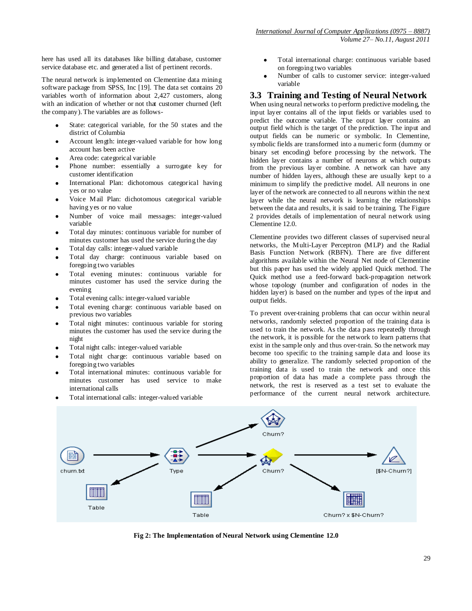here has used all its databases like billing database, customer service database etc. and generated a list of pertinent records.

The neural network is implemented on Clementine data mining software package from SPSS, Inc [19]. The data set contains 20 variables worth of information about 2,427 customers, along with an indication of whether or not that customer churned (left the company). The variables are as follows-

- State: categorical variable, for the 50 states and the district of Columbia
- Account length: integer-valued variable for how long account has been active
- Area code: categorical variable
- Phone number: essentially a surrogate key for customer identification
- International Plan: dichotomous categorical having yes or no value
- Voice Mail Plan: dichotomous categorical variable having yes or no value
- Number of voice mail messages: integer-valued variable
- Total day minutes: continuous variable for number of minutes customer has used the service during the day
- Total day calls: integer-valued variable
- Total day charge: continuous variable based on foregoing two variables
- Total evening minutes: continuous variable for minutes customer has used the service during the evening
- Total evening calls: integer-valued variable
- Total evening charge: continuous variable based on previous two variables
- Total night minutes: continuous variable for storing minutes the customer has used the service during the night
- Total night calls: integer-valued variable
- Total night charge: continuous variable based on foregoing two variables
- Total international minutes: continuous variable for minutes customer has used service to make international calls
- Total international calls: integer-valued variable
- Total international charge: continuous variable based on foregoing two variables
- Number of calls to customer service: integer-valued variable

# **3.3 Training and Testing of Neural Network**

When using neural networks to perform predictive modeling, the input layer contains all of the input fields or variables used to predict the outcome variable. The output layer contains an output field which is the target of the prediction. The input and output fields can be numeric or symbolic. In Clementine, symbolic fields are transformed into a numeric form (dummy or binary set encoding) before processing by the network. The hidden layer contains a number of neurons at which outputs from the previous layer combine. A network can have any number of hidden layers, although these are usually kept to a minimum to simplify the predictive model. All neurons in one layer of the network are connected to all neurons within the next layer while the neural network is learning the relationships between the data and results, it is said to be training. The Figure 2 provides details of implementation of neural network using Clementine 12.0.

Clementine provides two different classes of supervised neural networks, the Multi-Layer Perceptron (MLP) and the Radial Basis Function Network (RBFN). There are five different algorithms available within the Neural Net node of Clementine but this paper has used the widely applied Quick method. The Quick method use a feed-forward back-propagation network whose topology (number and configuration of nodes in the hidden layer) is based on the number and types of the input and output fields.

To prevent over-training problems that can occur within neural networks, randomly selected proportion of the training data is used to train the network. As the data pass repeatedly through the network, it is possible for the network to learn patterns that exist in the sample only and thus over-train. So the network may become too specific to the training sample data and loose its ability to generalize. The randomly selected proportion of the training data is used to train the network and once this proportion of data has made a complete pass through the network, the rest is reserved as a test set to evaluate the performance of the current neural network architecture.



**Fig 2: The Implementation of Neural Network using Clementine 12.0**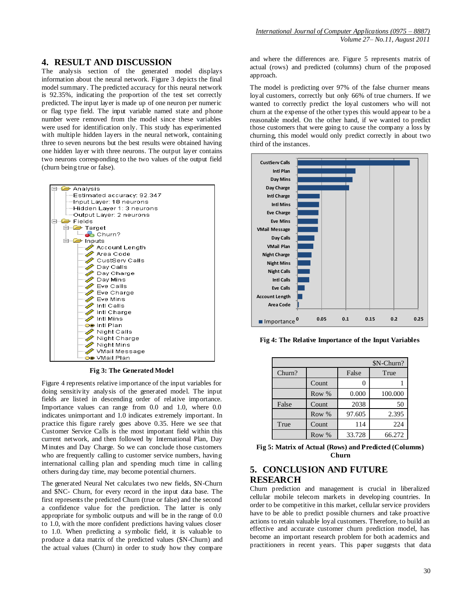## **4. RESULT AND DISCUSSION**

The analysis section of the generated model displays information about the neural network. Figure 3 depicts the final model summary. The predicted accuracy for this neural network is 92.35%, indicating the proportion of the test set correctly predicted. The input layer is made up of one neuron per numeric or flag type field. The input variable named state and phone number were removed from the model since these variables were used for identification only. This study has experimented with multiple hidden layers in the neural network, containing three to seven neurons but the best results were obtained having one hidden layer with three neurons. The output layer contains two neurons corresponding to the two values of the output field (churn being true or false).



**Fig 3: The Generated Model** 

Figure 4 represents relative importance of the input variables for doing sensitivity analysis of the generated model. The input fields are listed in descending order of relative importance. Importance values can range from 0.0 and 1.0, where 0.0 indicates unimportant and 1.0 indicates extremely important. In practice this figure rarely goes above 0.35. Here we see that Customer Service Calls is the most important field within this current network, and then followed by International Plan, Day Minutes and Day Charge. So we can conclude those customers who are frequently calling to customer service numbers, having international calling plan and spending much time in calling others during day time, may become potential churners.

The generated Neural Net calculates two new fields, \$N-Churn and \$NC- Churn, for every record in the input data base. The first represents the predicted Churn (true or false) and the second a confidence value for the prediction. The latter is only appropriate for symbolic outputs and will be in the range of 0.0 to 1.0, with the more confident predictions having values closer to 1.0. When predicting a symbolic field, it is valuable to produce a data matrix of the predicted values (\$N-Churn) and the actual values (Churn) in order to study how they compare and where the differences are. Figure 5 represents matrix of actual (rows) and predicted (columns) churn of the proposed approach.

The model is predicting over 97% of the false churner means loyal customers, correctly but only 66% of true churners. If we wanted to correctly predict the loyal customers who will not churn at the expense of the other types this would appear to be a reasonable model. On the other hand, if we wanted to predict those customers that were going to cause the company a loss by churning, this model would only predict correctly in about two third of the instances.



**Fig 4: The Relative Importance of the Input Variables**

| \$N-Churn? |       |        |         |
|------------|-------|--------|---------|
| Churn?     |       | False  | True    |
|            | Count |        |         |
|            | Row % | 0.000  | 100.000 |
| False      | Count | 2038   | 50      |
|            | Row % | 97.605 | 2.395   |
| True       | Count | 114    | 224     |
|            | Row % | 33.728 | 66.272  |

**Fig 5: Matrix of Actual (Rows) and Predicted (Columns) Churn**

# **5. CONCLUSION AND FUTURE RESEARCH**

Churn prediction and management is crucial in liberalized cellular mobile telecom markets in developing countries. In order to be competitive in this market, cellular service providers have to be able to predict possible churners and take proactive actions to retain valuable loyal customers. Therefore, to build an effective and accurate customer churn prediction model, has become an important research problem for both academics and practitioners in recent years. This paper suggests that data